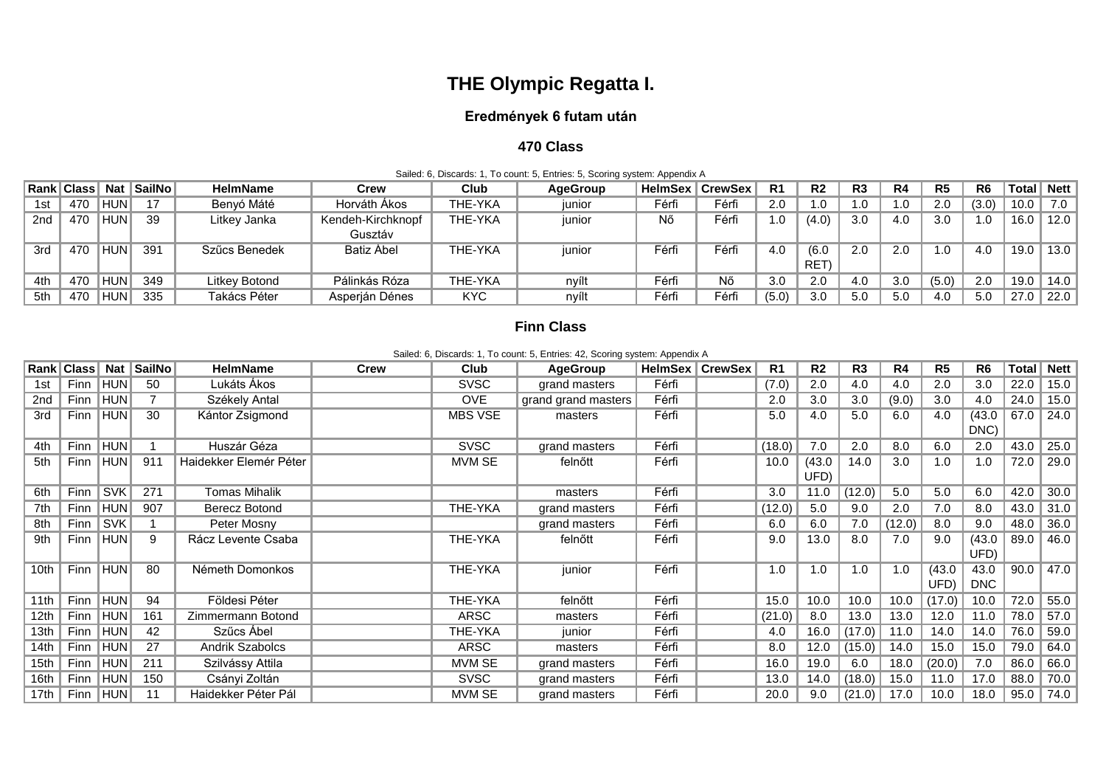# **THE Olympic Regatta I.**

## **Eredmények 6 futam után**

### **470 Class**

|     | Sailed: 6, Discards: 1, To count: 5, Entries: 5, Scoring system: Appendix A |             |           |                 |                   |         |                 |       |                          |       |                |                |      |                |                |              |      |
|-----|-----------------------------------------------------------------------------|-------------|-----------|-----------------|-------------------|---------|-----------------|-------|--------------------------|-------|----------------|----------------|------|----------------|----------------|--------------|------|
|     |                                                                             |             |           | <b>HelmName</b> | Crew              | Club    | <b>AgeGroup</b> |       | <b>HelmSex   CrewSex</b> | R1    | R <sub>2</sub> | R <sub>3</sub> | R4   | R <sub>5</sub> | R <sub>6</sub> | Total   Nett |      |
| 1st | 470                                                                         | <b>HUN</b>  | $-4$ $-7$ | Benyó Máté      | Horváth Ákos      | THE-YKA | iunior          | Férfi | Férfi                    | 2.0   | 1.0            | 0. ا           | 0. ا | 2.0            | (3.0)          | 10.0         | 7.0  |
| 2nd | 470                                                                         | <b>IHUN</b> | 39        | Litkey Janka    | Kendeh-Kirchknopf | THE-YKA | junior          | Nő    | Férfi                    | 1.0   | (4.0)          | 3.0            | 4.0  | 3.0            | 1.0            | 16.0         | 12.0 |
|     |                                                                             |             |           |                 | Gusztáv           |         |                 |       |                          |       |                |                |      |                |                |              |      |
| 3rd | 470                                                                         | <b>IHUN</b> | 391       | Szűcs Benedek   | Batiz Abel        | THE-YKA | junior          | Férfi | Férfi                    | 4.0   | (6.0)          | 2.0            | 2.0  | 1.0            | 4.0            | 19.0         | 13.0 |
|     |                                                                             |             |           |                 |                   |         |                 |       |                          |       | RET)           |                |      |                |                |              |      |
| 4th | 470                                                                         | <b>IHUN</b> | 349       | Litkey Botond   | Pálinkás Róza     | THE-YKA | nyílt           | Férfi | Nő                       | 3.0   | 2.0            | 4.0            | 3.0  | (5.0)          | 2.0            | 19.0         | 14.0 |
| 5th | 470                                                                         | <b>IHUN</b> | 335       | Takács Péter    | Asperján Dénes    | KYC.    | nyílt           | Férfi | Férfi                    | (5.0) | 3.0            | 5.0            | 5.0  | 4.0            | 5.0            | 27.0         | 22.0 |

#### **Finn Class**

| Sailed: 6, Discards: 1, To count: 5, Entries: 42, Scoring system: Appendix A |  |  |  |  |
|------------------------------------------------------------------------------|--|--|--|--|
|------------------------------------------------------------------------------|--|--|--|--|

|      |             |               | Rank   Class   Nat   SailNo | <b>HelmName</b>        | <b>Crew</b> | Club           | <b>AgeGroup</b>     |       | <b>HelmSex   CrewSex</b> | R <sub>1</sub> | R <sub>2</sub> | R3     | R4     | R <sub>5</sub> | R <sub>6</sub>     |      | Total   Nett     |
|------|-------------|---------------|-----------------------------|------------------------|-------------|----------------|---------------------|-------|--------------------------|----------------|----------------|--------|--------|----------------|--------------------|------|------------------|
| 1st  |             | Finn   HUN    | 50                          | Lukáts Ákos            |             | <b>SVSC</b>    | grand masters       | Férfi |                          | (7.0)          | 2.0            | 4.0    | 4.0    | 2.0            | 3.0                | 22.0 | $\parallel$ 15.0 |
| 2nd  |             | Finn HUN      |                             | Székely Antal          |             | <b>OVE</b>     | grand grand masters | Férfi |                          | 2.0            | 3.0            | 3.0    | (9.0)  | 3.0            | 4.0                | 24.0 | $\vert$ 15.0     |
| 3rd  |             | Finn  HUN     | 30                          | Kántor Zsigmond        |             | <b>MBS VSE</b> | masters             | Férfi |                          | 5.0            | 4.0            | 5.0    | 6.0    | 4.0            | (43.0)<br>DNC)     | 67.0 | $\vert$ 24.0     |
| 4th  | Finn        | HUN           |                             | Huszár Géza            |             | <b>SVSC</b>    | grand masters       | Férfi |                          | (18.0)         | 7.0            | 2.0    | 8.0    | 6.0            | 2.0                | 43.0 | 25.0             |
| 5th  | Finn        | $\ $ HUN $\ $ | 911                         | Haidekker Elemér Péter |             | MVM SE         | felnőtt             | Férfi |                          | 10.0           | (43.0)<br>UFD) | 14.0   | 3.0    | 1.0            | 1.0                | 72.0 | 29.0             |
| 6th  | Finn        | SVK           | 271                         | <b>Tomas Mihalik</b>   |             |                | masters             | Férfi |                          | 3.0            | 11.0           | (12.0) | 5.0    | 5.0            | 6.0                | 42.0 | 30.0             |
| 7th  | <b>Finn</b> | HUN           | 907                         | Berecz Botond          |             | THE-YKA        | grand masters       | Férfi |                          | (12.0)         | 5.0            | 9.0    | 2.0    | 7.0            | 8.0                | 43.0 | $\vert$ 31.0     |
| 8th  | <b>Finn</b> | <b>SVK</b>    |                             | Peter Mosny            |             |                | grand masters       | Férfi |                          | 6.0            | 6.0            | 7.0    | (12.0) | 8.0            | 9.0                | 48.0 | 36.0             |
| 9th  | Finn        | $\ $ HUN $\ $ | 9                           | Rácz Levente Csaba     |             | THE-YKA        | felnőtt             | Férfi |                          | 9.0            | 13.0           | 8.0    | 7.0    | 9.0            | (43.0)<br>UFD)     | 89.0 | 46.0             |
| 10th | <b>Finn</b> | <b>HUN</b>    | 80                          | Németh Domonkos        |             | THE-YKA        | junior              | Férfi |                          | 1.0            | 1.0            | 1.0    | 1.0    | (43.0)<br>UFD) | 43.0<br><b>DNC</b> | 90.0 | 47.0             |
| 11th |             | Finn  HUN     | 94                          | Földesi Péter          |             | THE-YKA        | felnőtt             | Férfi |                          | 15.0           | 10.0           | 10.0   | 10.0   | (17.0)         | 10.0               | 72.0 | 55.0             |
| 12th |             | Finn   HUN    | 161                         | Zimmermann Botond      |             | ARSC           | masters             | Férfi |                          | (21.0)         | 8.0            | 13.0   | 13.0   | 12.0           | 11.0               | 78.0 | 57.0             |
| 13th |             | Finn   HUN    | 42                          | Szűcs Ábel             |             | THE-YKA        | junior              | Férfi |                          | 4.0            | 16.0           | (17.0) | 11.0   | 14.0           | 14.0               | 76.0 | 59.0             |
| 14th | Finn        | $\ $ HUN      | 27                          | <b>Andrik Szabolcs</b> |             | <b>ARSC</b>    | masters             | Férfi |                          | 8.0            | 12.0           | (15.0) | 14.0   | 15.0           | 15.0               | 79.0 | 64.0             |
| 15th | <b>Finn</b> | HUN           | 211                         | Szilvássy Attila       |             | MVM SE         | grand masters       | Férfi |                          | 16.0           | 19.0           | 6.0    | 18.0   | (20.0)         | 7.0                | 86.0 | 66.0             |
| 16th |             | Finn   HUN    | 150                         | Csányi Zoltán          |             | <b>SVSC</b>    | grand masters       | Férfi |                          | 13.0           | 14.0           | (18.0) | 15.0   | 11.0           | 17.0               | 88.0 | 70.0             |
| 17th | Finn  HUN   |               | 11                          | Haidekker Péter Pál    |             | MVM SE         | grand masters       | Férfi |                          | 20.0           | 9.0            | (21.0) | 17.0   | 10.0           | 18.0               |      | $95.0$   74.0    |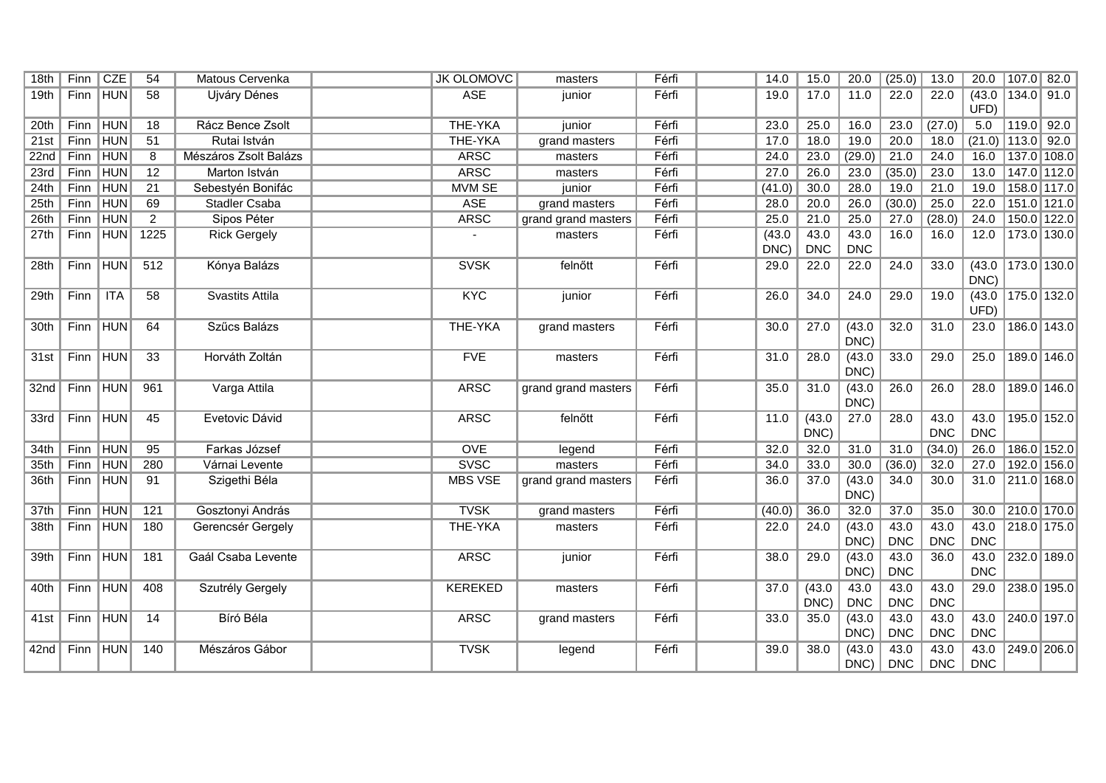| 18th | <b>Finn</b> | <b>CZE</b>    | 54             | Matous Cervenka        | <b>JK OLOMOVC</b> | masters             | Férfi | 14.0   | 15.0       | 20.0       | (25.0)     | 13.0       | 20.0                | 107.0 82.0             |
|------|-------------|---------------|----------------|------------------------|-------------------|---------------------|-------|--------|------------|------------|------------|------------|---------------------|------------------------|
| 19th | Finn        | <b>HUN</b>    | 58             | <b>Ujváry Dénes</b>    | <b>ASE</b>        | junior              | Férfi | 19.0   | 17.0       | 11.0       | 22.0       | 22.0       | (43.0)              | $134.0$ 91.0           |
|      |             |               |                |                        |                   |                     |       |        |            |            |            |            | UFD)                |                        |
| 20th | Finn        | <b>HUN</b>    | 18             | Rácz Bence Zsolt       | THE-YKA           | junior              | Férfi | 23.0   | 25.0       | 16.0       | 23.0       | (27.0)     | 5.0                 | $119.0$ 92.0           |
| 21st | Finn        | <b>HUN</b>    | 51             | Rutai István           | THE-YKA           | grand masters       | Férfi | 17.0   | 18.0       | 19.0       | 20.0       | 18.0       | $(21.0)$ 113.0 92.0 |                        |
| 22nd | Finn        | <b>HUN</b>    | $\overline{8}$ | Mészáros Zsolt Balázs  | <b>ARSC</b>       | masters             | Férfi | 24.0   | 23.0       | (29.0)     | 21.0       | 24.0       | 16.0                | 137.0 108.0            |
| 23rd | Finn        | <b>HUN</b>    | 12             | Marton István          | <b>ARSC</b>       | masters             | Férfi | 27.0   | 26.0       | 23.0       | (35.0)     | 23.0       | 13.0                | $147.0$ 112.0          |
| 24th | Finn        | <b>HUN</b>    | 21             | Sebestyén Bonifác      | <b>MVM SE</b>     | junior              | Férfi | (41.0) | 30.0       | 28.0       | 19.0       | 21.0       | 19.0                | 158.0 117.0            |
| 25th | Finn        | <b>HUN</b>    | 69             | <b>Stadler Csaba</b>   | <b>ASE</b>        | grand masters       | Férfi | 28.0   | 20.0       | 26.0       | (30.0)     | 25.0       | 22.0                | $151.0$ 121.0          |
| 26th | Finn        | <b>HUN</b>    | $\overline{2}$ | Sipos Péter            | <b>ARSC</b>       | grand grand masters | Férfi | 25.0   | 21.0       | 25.0       | 27.0       | (28.0)     | 24.0                | 150.0 122.0            |
| 27th | Finn        | HUN           | 1225           | <b>Rick Gergely</b>    |                   | masters             | Férfi | (43.0) | 43.0       | 43.0       | 16.0       | 16.0       | 12.0                | 173.0 130.0            |
|      |             |               |                |                        |                   |                     |       | DNC)   | <b>DNC</b> | <b>DNC</b> |            |            |                     |                        |
| 28th | <b>Finn</b> | <b>HUN</b>    | 512            | Kónya Balázs           | <b>SVSK</b>       | felnőtt             | Férfi | 29.0   | 22.0       | 22.0       | 24.0       | 33.0       |                     | (43.0   173.0   130.0) |
|      |             |               |                |                        |                   |                     |       |        |            |            |            |            | DNC)                |                        |
| 29th | Finn        | ITA           | 58             | <b>Svastits Attila</b> | <b>KYC</b>        | junior              | Férfi | 26.0   | 34.0       | 24.0       | 29.0       | 19.0       | (43.0)              | 175.0 132.0            |
|      |             |               |                |                        |                   |                     |       |        |            |            |            |            | UFD)                |                        |
| 30th | Finn        | <b>HUN</b>    | 64             | Szűcs Balázs           | THE-YKA           | grand masters       | Férfi | 30.0   | 27.0       | (43.0)     | 32.0       | 31.0       | 23.0                | 186.0 143.0            |
|      |             |               |                |                        |                   |                     |       |        |            | DNC)       |            |            |                     |                        |
| 31st | Finn        | <b>HUN</b>    | 33             | Horváth Zoltán         | <b>FVE</b>        | masters             | Férfi | 31.0   | 28.0       | (43.0)     | 33.0       | 29.0       | 25.0                | 189.0 146.0            |
|      |             |               |                |                        |                   |                     |       |        |            | DNC)       |            |            |                     |                        |
| 32nd | Finn        | <b>HUN</b>    | 961            | Varga Attila           | <b>ARSC</b>       | grand grand masters | Férfi | 35.0   | 31.0       | (43.0)     | 26.0       | 26.0       | 28.0                | 189.0 146.0            |
|      |             |               |                |                        |                   |                     |       |        |            | DNC)       |            |            |                     |                        |
| 33rd |             | Finn HUN      | 45             | Evetovic Dávid         | <b>ARSC</b>       | felnőtt             | Férfi | 11.0   | (43.0)     | 27.0       | 28.0       | 43.0       | 43.0                | 195.0 152.0            |
|      |             |               |                |                        |                   |                     |       |        | DNC)       |            |            | <b>DNC</b> | <b>DNC</b>          |                        |
| 34th | Finn        | <b>HUN</b>    | 95             | Farkas József          | <b>OVE</b>        | legend              | Férfi | 32.0   | 32.0       | 31.0       | 31.0       | (34.0)     | 26.0                | 186.0 152.0            |
| 35th | Finn        | <b>HUN</b>    | 280            | Várnai Levente         | <b>SVSC</b>       | masters             | Férfi | 34.0   | 33.0       | 30.0       | (36.0)     | 32.0       | 27.0                | $192.0$ 156.0          |
| 36th | Finn        | HUN           | 91             | Szigethi Béla          | <b>MBS VSE</b>    | grand grand masters | Férfi | 36.0   | 37.0       | (43.0)     | 34.0       | 30.0       | 31.0                | 211.0 168.0            |
|      |             |               |                |                        |                   |                     |       |        |            | DNC)       |            |            |                     |                        |
| 37th | Finn        | <b>HUN</b>    | 121            | Gosztonyi András       | <b>TVSK</b>       | grand masters       | Férfi | (40.0) | 36.0       | 32.0       | 37.0       | 35.0       | 30.0                | 210.0 170.0            |
| 38th | <b>Finn</b> | $\ $ HUN $\ $ | 180            | Gerencsér Gergely      | THE-YKA           | masters             | Férfi | 22.0   | 24.0       | (43.0)     | 43.0       | 43.0       | 43.0                | 218.0 175.0            |
|      |             |               |                |                        |                   |                     |       |        |            | DNC)       | <b>DNC</b> | <b>DNC</b> | <b>DNC</b>          |                        |
| 39th | Finn        | $\ $ HUN $\ $ | 181            | Gaál Csaba Levente     | <b>ARSC</b>       | junior              | Férfi | 38.0   | 29.0       | (43.0)     | 43.0       | 36.0       | 43.0                | 232.0 189.0            |
|      |             |               |                |                        |                   |                     |       |        |            | DNC)       | <b>DNC</b> |            | <b>DNC</b>          |                        |
| 40th |             | Finn HUN      | 408            | Szutrély Gergely       | <b>KEREKED</b>    | masters             | Férfi | 37.0   | (43.0)     | 43.0       | 43.0       | 43.0       | 29.0                | 238.0 195.0            |
|      |             |               |                |                        |                   |                     |       |        | DNC)       | <b>DNC</b> | <b>DNC</b> | <b>DNC</b> |                     |                        |
| 41st | Finn        | HUN           | 14             | Bíró Béla              | <b>ARSC</b>       | grand masters       | Férfi | 33.0   | 35.0       | (43.0)     | 43.0       | 43.0       | 43.0                | 240.0 197.0            |
|      |             |               |                |                        |                   |                     |       |        |            | DNC)       | <b>DNC</b> | <b>DNC</b> | <b>DNC</b>          |                        |
| 42nd | Finn        | <b>HUN</b>    | 140            | Mészáros Gábor         | <b>TVSK</b>       | legend              | Férfi | 39.0   | 38.0       | (43.0)     | 43.0       | 43.0       | 43.0                | 249.0 206.0            |
|      |             |               |                |                        |                   |                     |       |        |            | DNC)       | <b>DNC</b> | <b>DNC</b> | <b>DNC</b>          |                        |